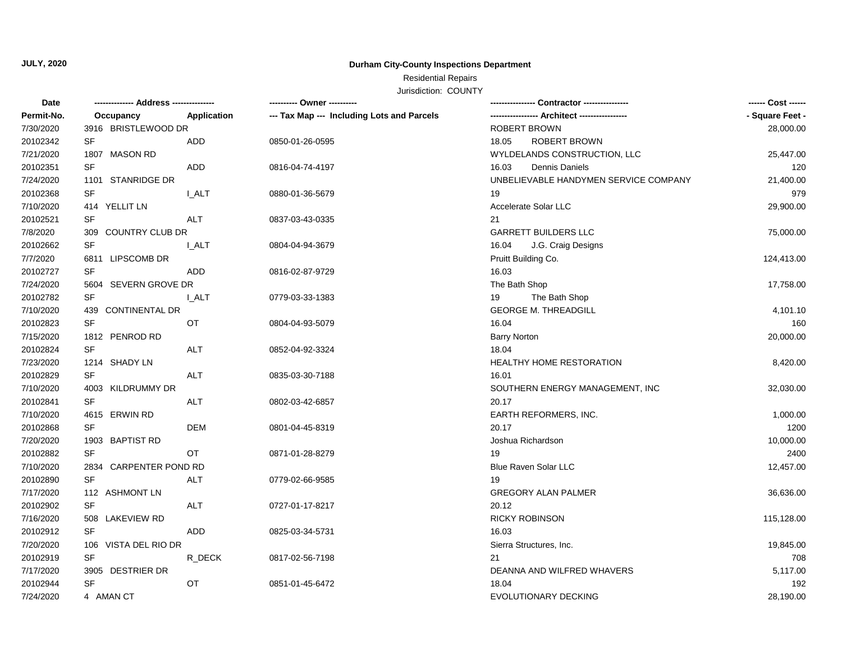# **JULY, 2020**

## **Durham City-County Inspections Department**

# Residential Repairs

Jurisdiction: COUNTY

| Date       |                           | --------- Owner ---------                  |                                       | ------ Cost ------ |
|------------|---------------------------|--------------------------------------------|---------------------------------------|--------------------|
| Permit-No. | Occupancy<br>Application  | --- Tax Map --- Including Lots and Parcels |                                       | - Square Feet -    |
| 7/30/2020  | 3916 BRISTLEWOOD DR       |                                            | <b>ROBERT BROWN</b>                   | 28,000.00          |
| 20102342   | <b>SF</b><br>ADD          | 0850-01-26-0595                            | ROBERT BROWN<br>18.05                 |                    |
| 7/21/2020  | 1807 MASON RD             |                                            | WYLDELANDS CONSTRUCTION, LLC          | 25,447.00          |
| 20102351   | SF<br>ADD                 | 0816-04-74-4197                            | 16.03<br>Dennis Daniels               | 120                |
| 7/24/2020  | 1101 STANRIDGE DR         |                                            | UNBELIEVABLE HANDYMEN SERVICE COMPANY | 21,400.00          |
| 20102368   | <b>SF</b><br><b>I_ALT</b> | 0880-01-36-5679                            | 19                                    | 979                |
| 7/10/2020  | 414 YELLIT LN             |                                            | Accelerate Solar LLC                  | 29,900.00          |
| 20102521   | SF<br><b>ALT</b>          | 0837-03-43-0335                            | 21                                    |                    |
| 7/8/2020   | 309 COUNTRY CLUB DR       |                                            | <b>GARRETT BUILDERS LLC</b>           | 75,000.00          |
| 20102662   | SF<br><b>I_ALT</b>        | 0804-04-94-3679                            | 16.04<br>J.G. Craig Designs           |                    |
| 7/7/2020   | 6811 LIPSCOMB DR          |                                            | Pruitt Building Co.                   | 124,413.00         |
| 20102727   | SF<br>ADD                 | 0816-02-87-9729                            | 16.03                                 |                    |
| 7/24/2020  | 5604 SEVERN GROVE DR      |                                            | The Bath Shop                         | 17,758.00          |
| 20102782   | SF<br><b>I_ALT</b>        | 0779-03-33-1383                            | 19<br>The Bath Shop                   |                    |
| 7/10/2020  | 439 CONTINENTAL DR        |                                            | <b>GEORGE M. THREADGILL</b>           | 4,101.10           |
| 20102823   | SF<br>OT                  | 0804-04-93-5079                            | 16.04                                 | 160                |
| 7/15/2020  | 1812 PENROD RD            |                                            | <b>Barry Norton</b>                   | 20,000.00          |
| 20102824   | SF<br><b>ALT</b>          | 0852-04-92-3324                            | 18.04                                 |                    |
| 7/23/2020  | 1214 SHADY LN             |                                            | <b>HEALTHY HOME RESTORATION</b>       | 8,420.00           |
| 20102829   | SF<br>ALT                 | 0835-03-30-7188                            | 16.01                                 |                    |
| 7/10/2020  | 4003 KILDRUMMY DR         |                                            | SOUTHERN ENERGY MANAGEMENT, INC       | 32,030.00          |
| 20102841   | <b>SF</b><br><b>ALT</b>   | 0802-03-42-6857                            | 20.17                                 |                    |
| 7/10/2020  | 4615 ERWIN RD             |                                            | EARTH REFORMERS, INC.                 | 1,000.00           |
| 20102868   | SF<br><b>DEM</b>          | 0801-04-45-8319                            | 20.17                                 | 1200               |
| 7/20/2020  | 1903 BAPTIST RD           |                                            | Joshua Richardson                     | 10,000.00          |
| 20102882   | SF<br>OT                  | 0871-01-28-8279                            | 19                                    | 2400               |
| 7/10/2020  | 2834 CARPENTER POND RD    |                                            | <b>Blue Raven Solar LLC</b>           | 12,457.00          |
| 20102890   | <b>SF</b><br><b>ALT</b>   | 0779-02-66-9585                            | 19                                    |                    |
| 7/17/2020  | 112 ASHMONT LN            |                                            | <b>GREGORY ALAN PALMER</b>            | 36,636.00          |
| 20102902   | <b>SF</b><br>ALT          | 0727-01-17-8217                            | 20.12                                 |                    |
| 7/16/2020  | 508 LAKEVIEW RD           |                                            | <b>RICKY ROBINSON</b>                 | 115,128.00         |
| 20102912   | <b>SF</b><br><b>ADD</b>   | 0825-03-34-5731                            | 16.03                                 |                    |
| 7/20/2020  | 106 VISTA DEL RIO DR      |                                            | Sierra Structures, Inc.               | 19,845.00          |
| 20102919   | SF<br>R_DECK              | 0817-02-56-7198                            | 21                                    | 708                |
| 7/17/2020  | 3905 DESTRIER DR          |                                            | DEANNA AND WILFRED WHAVERS            | 5,117.00           |
| 20102944   | SF<br>OT                  | 0851-01-45-6472                            | 18.04                                 | 192                |
| 7/24/2020  | 4 AMAN CT                 |                                            | EVOLUTIONARY DECKING                  | 28,190.00          |